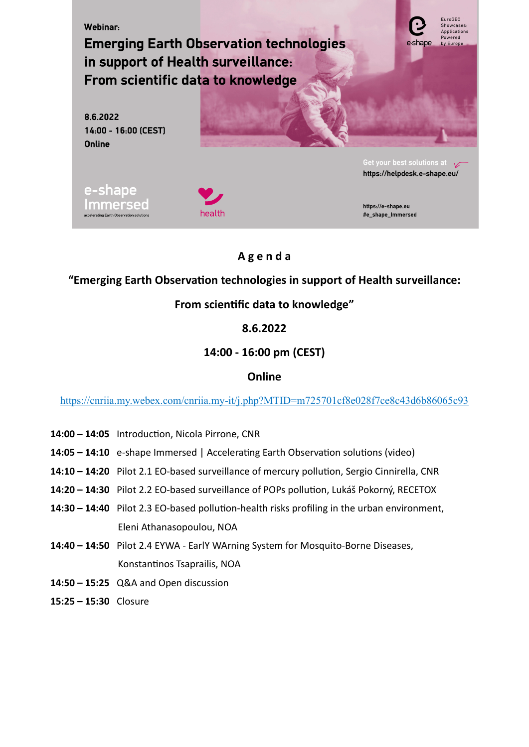

# **A g e n d a**

## **"Emerging Earth Observation technologies in support of Health surveillance:**

# **From scientific data to knowledge"**

### **8.6.2022**

# **14:00 - 16:00 pm (CEST)**

### **Online**

<https://cnriia.my.webex.com/cnriia.my-it/j.php?MTID=m725701cf8e028f7ce8c43d6b86065c93>

- **14:00 14:05** Introduction, Nicola Pirrone, CNR
- **14:05 14:10** e-shape Immersed | Accelerating Earth Observation solutions (video)
- **14:10 14:20** Pilot 2.1 EO-based surveillance of mercury pollution, Sergio Cinnirella, CNR
- **14:20 14:30** Pilot 2.2 EO-based surveillance of POPs pollution, Lukáš Pokorný, RECETOX
- **14:30 14:40** Pilot 2.3 EO-based pollution-health risks profiling in the urban environment, Eleni Athanasopoulou, NOA
- **14:40 14:50** Pilot 2.4 EYWA EarlY WArning System for Mosquito-Borne Diseases, Konstantinos Tsaprailis, NOA
- **14:50 15:25** Q&A and Open discussion
- **15:25 15:30** Closure